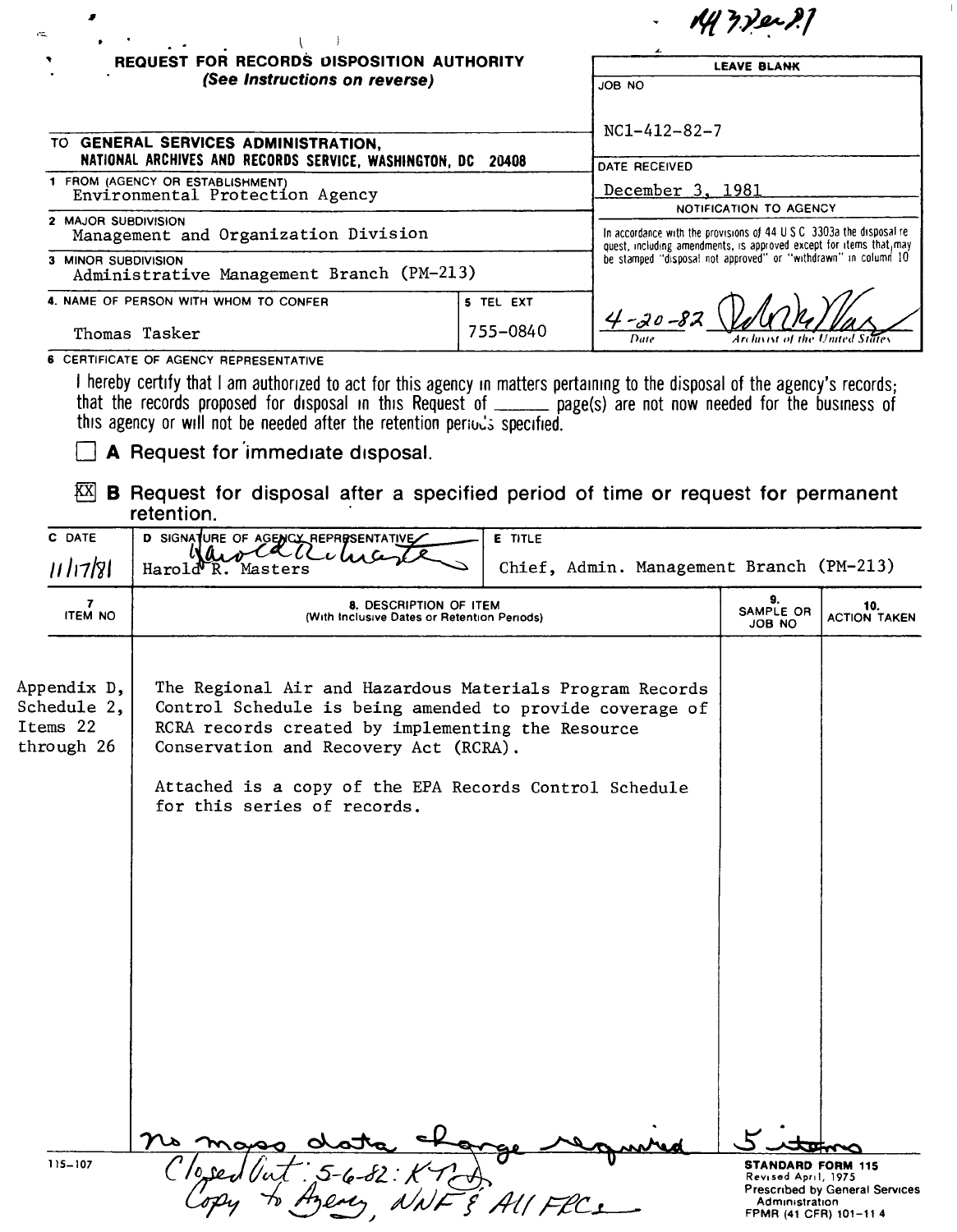|                                                                                                                                                                                                                                                                                                                            |           | y 7.Yei 7.1                                                                                                                                  |  |  |
|----------------------------------------------------------------------------------------------------------------------------------------------------------------------------------------------------------------------------------------------------------------------------------------------------------------------------|-----------|----------------------------------------------------------------------------------------------------------------------------------------------|--|--|
| <b>REQUEST FOR RECORDS DISPOSITION AUTHORITY</b>                                                                                                                                                                                                                                                                           |           | <b>LEAVE BLANK</b>                                                                                                                           |  |  |
| (See Instructions on reverse)                                                                                                                                                                                                                                                                                              |           | JOB NO                                                                                                                                       |  |  |
| TO GENERAL SERVICES ADMINISTRATION,                                                                                                                                                                                                                                                                                        |           | $NC1 - 412 - 82 - 7$                                                                                                                         |  |  |
| NATIONAL ARCHIVES AND RECORDS SERVICE, WASHINGTON, DC 20408                                                                                                                                                                                                                                                                |           | DATE RECEIVED                                                                                                                                |  |  |
| 1 FROM (AGENCY OR ESTABLISHMENT)<br>Environmental Protection Agency                                                                                                                                                                                                                                                        |           | December 3, 1981                                                                                                                             |  |  |
|                                                                                                                                                                                                                                                                                                                            |           | NOTIFICATION TO AGENCY                                                                                                                       |  |  |
| 2 MAJOR SUBDIVISION<br>Management and Organization Division                                                                                                                                                                                                                                                                |           | In accordance with the provisions of 44 U.S.C. 3303a the disposal re-<br>quest, including amendments, is approved except for items that, may |  |  |
| 3 MINOR SUBDIVISION<br>Administrative Management Branch (PM-213)                                                                                                                                                                                                                                                           |           | be stamped "disposal not approved" or "withdrawn" in column 10                                                                               |  |  |
| 4. NAME OF PERSON WITH WHOM TO CONFER                                                                                                                                                                                                                                                                                      | 5 TEL EXT |                                                                                                                                              |  |  |
| Thomas Tasker                                                                                                                                                                                                                                                                                                              | 755-0840  | $4 - 20 - 82$                                                                                                                                |  |  |
| 6 CERTIFICATE OF AGENCY REPRESENTATIVE                                                                                                                                                                                                                                                                                     |           |                                                                                                                                              |  |  |
| I hereby certify that I am authorized to act for this agency in matters pertaining to the disposal of the agency's records;<br>that the records proposed for disposal in this Request of ______ page(s) are not now needed for the business of<br>this agency or will not be needed after the retention periods specified. |           |                                                                                                                                              |  |  |
| A Request for immediate disposal.                                                                                                                                                                                                                                                                                          |           |                                                                                                                                              |  |  |
| KX<br><b>B</b> Request for disposal after a specified period of time or request for permanent<br>retention.                                                                                                                                                                                                                |           |                                                                                                                                              |  |  |

 $\,$   $\,$ 

| 11/17/81                                             | Harold R.<br>Masters                                                                                                                                                                                                                                                                                        | Chief, Admin. Management Branch (PM-213) |                                                                                             |                                |
|------------------------------------------------------|-------------------------------------------------------------------------------------------------------------------------------------------------------------------------------------------------------------------------------------------------------------------------------------------------------------|------------------------------------------|---------------------------------------------------------------------------------------------|--------------------------------|
| 7<br><b>ITEM NO</b>                                  | 8. DESCRIPTION OF ITEM<br>(With Inclusive Dates or Retention Periods)                                                                                                                                                                                                                                       | 9.<br>SAMPLE OR<br>JOB NO                | 10.<br><b>ACTION TAKEN</b>                                                                  |                                |
| Appendix D,<br>Schedule 2,<br>Items 22<br>through 26 | The Regional Air and Hazardous Materials Program Records<br>Control Schedule is being amended to provide coverage of<br>RCRA records created by implementing the Resource<br>Conservation and Recovery Act (RCRA).<br>Attached is a copy of the EPA Records Control Schedule<br>for this series of records. |                                          |                                                                                             |                                |
|                                                      |                                                                                                                                                                                                                                                                                                             |                                          |                                                                                             |                                |
|                                                      |                                                                                                                                                                                                                                                                                                             |                                          |                                                                                             |                                |
| $115 - 107$                                          |                                                                                                                                                                                                                                                                                                             |                                          | <b>STANDARD FORM 115</b><br>Revised April, 1975<br>Administration<br>FPMR (41 CFR) 101-11 4 | Prescribed by General Services |